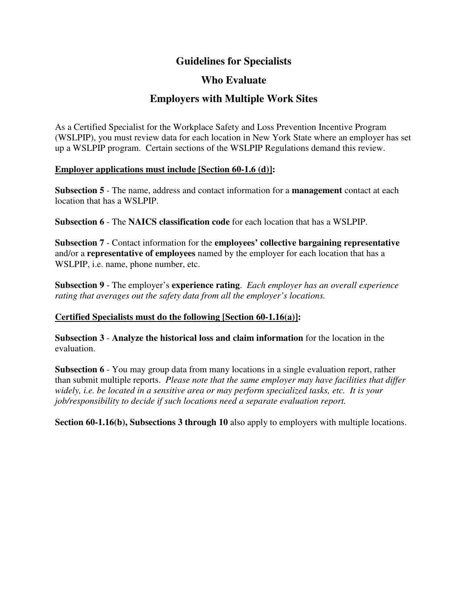# **Guidelines for Specialists**

## **Who Evaluate**

# **Employers with Multiple Work Sites**

As a Certified Specialist for the Workplace Safety and Loss Prevention Incentive Program (WSLPIP), you must review data for each location in New York State where an employer has set up a WSLPIP program. Certain sections of the WSLPIP Regulations demand this review.

#### **Employer applications must include [Section 60-1.6 (d)]:**

**Subsection 5** - The name, address and contact information for a **management** contact at each location that has a WSLPIP.

**Subsection 6** - The **NAICS classification code** for each location that has a WSLPIP.

**Subsection 7** - Contact information for the **employees' collective bargaining representative**  and/or a **representative of employees** named by the employer for each location that has a WSLPIP, i.e. name, phone number, etc.

**Subsection 9** - The employer's **experience rating**. *Each employer has an overall experience rating that averages out the safety data from all the employer's locations.*

### **Certified Specialists must do the following [Section 60-1.16(a)]:**

**Subsection 3** - **Analyze the historical loss and claim information** for the location in the evaluation.

**Subsection 6** - You may group data from many locations in a single evaluation report, rather than submit multiple reports. *Please note that the same employer may have facilities that differ widely, i.e. be located in a sensitive area or may perform specialized tasks, etc. It is your job/responsibility to decide if such locations need a separate evaluation report.*

**Section 60-1.16(b), Subsections 3 through 10** also apply to employers with multiple locations.